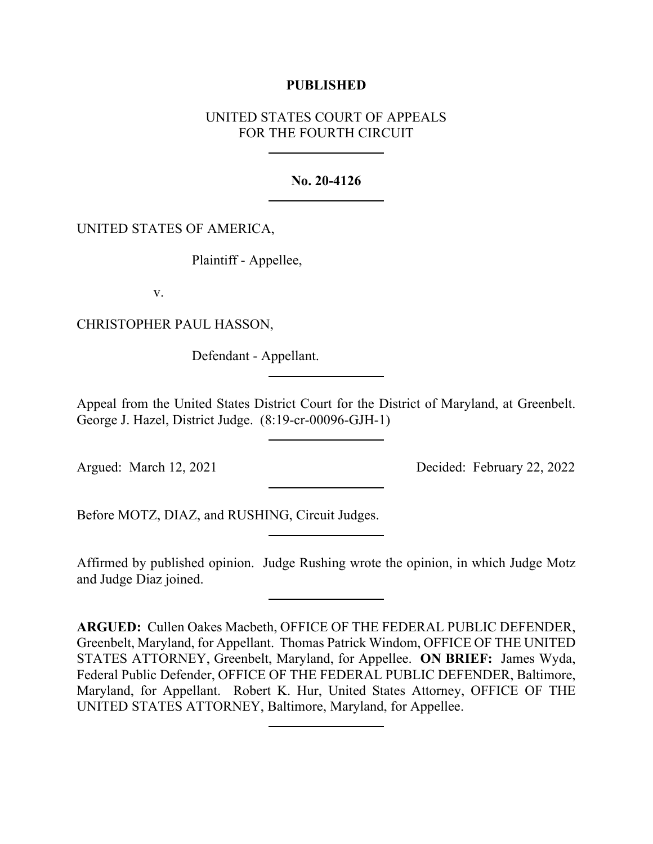## **PUBLISHED**

# UNITED STATES COURT OF APPEALS FOR THE FOURTH CIRCUIT

## **No. 20-4126**

# UNITED STATES OF AMERICA,

Plaintiff - Appellee,

v.

CHRISTOPHER PAUL HASSON,

Defendant - Appellant.

Appeal from the United States District Court for the District of Maryland, at Greenbelt. George J. Hazel, District Judge. (8:19-cr-00096-GJH-1)

Argued: March 12, 2021 Decided: February 22, 2022

Before MOTZ, DIAZ, and RUSHING, Circuit Judges.

Affirmed by published opinion. Judge Rushing wrote the opinion, in which Judge Motz and Judge Diaz joined.

**ARGUED:** Cullen Oakes Macbeth, OFFICE OF THE FEDERAL PUBLIC DEFENDER, Greenbelt, Maryland, for Appellant. Thomas Patrick Windom, OFFICE OF THE UNITED STATES ATTORNEY, Greenbelt, Maryland, for Appellee. **ON BRIEF:** James Wyda, Federal Public Defender, OFFICE OF THE FEDERAL PUBLIC DEFENDER, Baltimore, Maryland, for Appellant. Robert K. Hur, United States Attorney, OFFICE OF THE UNITED STATES ATTORNEY, Baltimore, Maryland, for Appellee.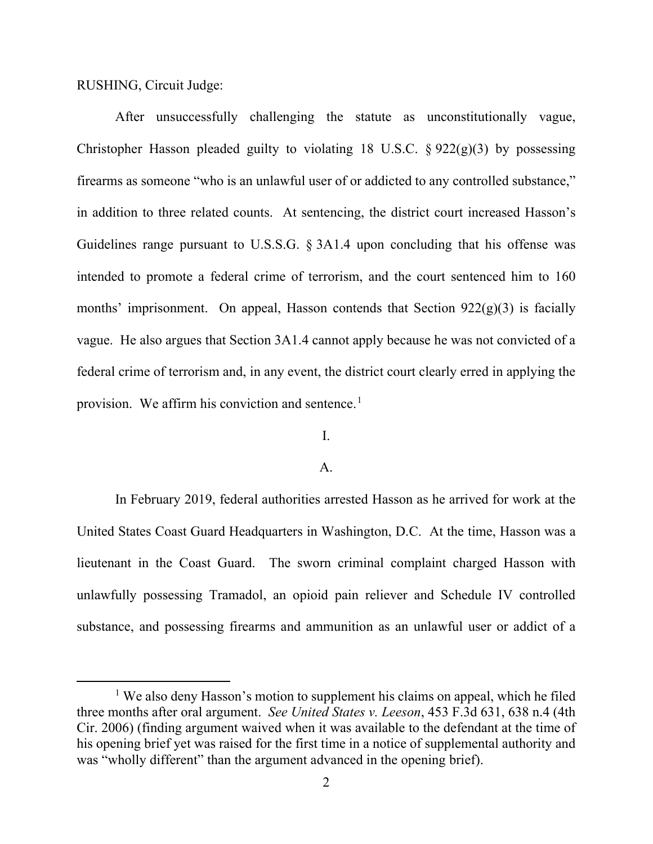RUSHING, Circuit Judge:

After unsuccessfully challenging the statute as unconstitutionally vague, Christopher Hasson pleaded guilty to violating 18 U.S.C.  $\S 922(g)(3)$  by possessing firearms as someone "who is an unlawful user of or addicted to any controlled substance," in addition to three related counts. At sentencing, the district court increased Hasson's Guidelines range pursuant to U.S.S.G. § 3A1.4 upon concluding that his offense was intended to promote a federal crime of terrorism, and the court sentenced him to 160 months' imprisonment. On appeal, Hasson contends that Section  $922(g)(3)$  is facially vague. He also argues that Section 3A1.4 cannot apply because he was not convicted of a federal crime of terrorism and, in any event, the district court clearly erred in applying the provision. We affirm his conviction and sentence.<sup>[1](#page-1-0)</sup>

# I.

### A.

In February 2019, federal authorities arrested Hasson as he arrived for work at the United States Coast Guard Headquarters in Washington, D.C. At the time, Hasson was a lieutenant in the Coast Guard. The sworn criminal complaint charged Hasson with unlawfully possessing Tramadol, an opioid pain reliever and Schedule IV controlled substance, and possessing firearms and ammunition as an unlawful user or addict of a

<span id="page-1-0"></span><sup>&</sup>lt;sup>1</sup> We also deny Hasson's motion to supplement his claims on appeal, which he filed three months after oral argument. *See United States v. Leeson*, 453 F.3d 631, 638 n.4 (4th Cir. 2006) (finding argument waived when it was available to the defendant at the time of his opening brief yet was raised for the first time in a notice of supplemental authority and was "wholly different" than the argument advanced in the opening brief).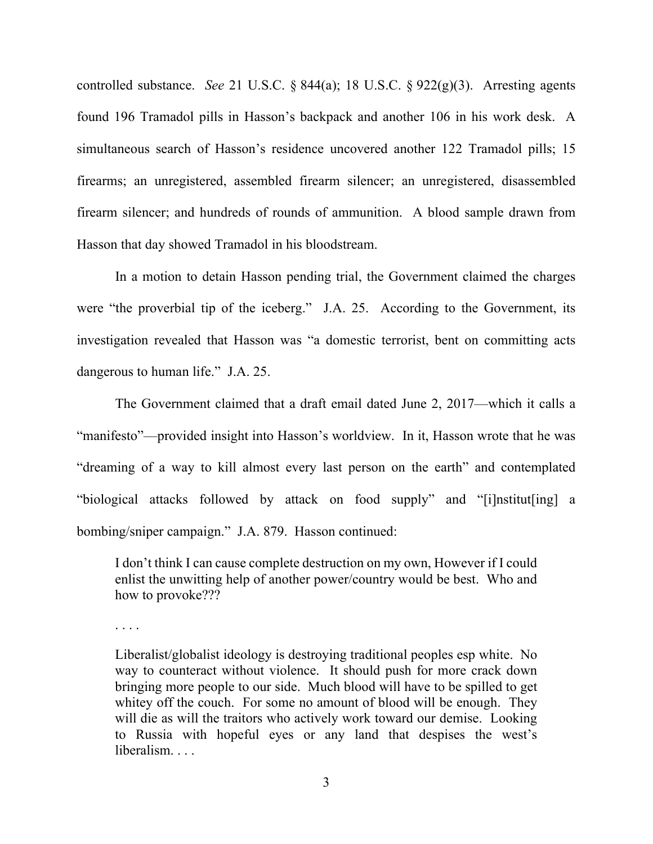controlled substance. *See* 21 U.S.C. § 844(a); 18 U.S.C. § 922(g)(3). Arresting agents found 196 Tramadol pills in Hasson's backpack and another 106 in his work desk. A simultaneous search of Hasson's residence uncovered another 122 Tramadol pills; 15 firearms; an unregistered, assembled firearm silencer; an unregistered, disassembled firearm silencer; and hundreds of rounds of ammunition. A blood sample drawn from Hasson that day showed Tramadol in his bloodstream.

In a motion to detain Hasson pending trial, the Government claimed the charges were "the proverbial tip of the iceberg." J.A. 25. According to the Government, its investigation revealed that Hasson was "a domestic terrorist, bent on committing acts dangerous to human life." J.A. 25.

The Government claimed that a draft email dated June 2, 2017—which it calls a "manifesto"—provided insight into Hasson's worldview. In it, Hasson wrote that he was "dreaming of a way to kill almost every last person on the earth" and contemplated "biological attacks followed by attack on food supply" and "[i]nstitut[ing] a bombing/sniper campaign." J.A. 879. Hasson continued:

I don't think I can cause complete destruction on my own, However if I could enlist the unwitting help of another power/country would be best. Who and how to provoke???

. . . .

Liberalist/globalist ideology is destroying traditional peoples esp white. No way to counteract without violence. It should push for more crack down bringing more people to our side. Much blood will have to be spilled to get whitey off the couch. For some no amount of blood will be enough. They will die as will the traitors who actively work toward our demise. Looking to Russia with hopeful eyes or any land that despises the west's liberalism. . . .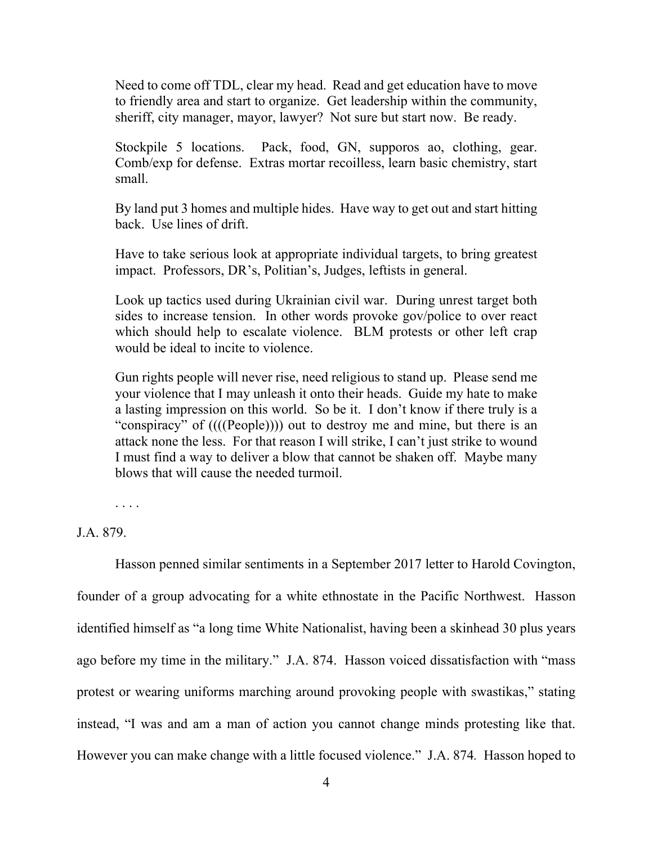Need to come off TDL, clear my head. Read and get education have to move to friendly area and start to organize. Get leadership within the community, sheriff, city manager, mayor, lawyer? Not sure but start now. Be ready.

Stockpile 5 locations. Pack, food, GN, supporos ao, clothing, gear. Comb/exp for defense. Extras mortar recoilless, learn basic chemistry, start small.

By land put 3 homes and multiple hides. Have way to get out and start hitting back. Use lines of drift.

Have to take serious look at appropriate individual targets, to bring greatest impact. Professors, DR's, Politian's, Judges, leftists in general.

Look up tactics used during Ukrainian civil war. During unrest target both sides to increase tension. In other words provoke gov/police to over react which should help to escalate violence. BLM protests or other left crap would be ideal to incite to violence.

Gun rights people will never rise, need religious to stand up. Please send me your violence that I may unleash it onto their heads. Guide my hate to make a lasting impression on this world. So be it. I don't know if there truly is a "conspiracy" of ((((People)))) out to destroy me and mine, but there is an attack none the less. For that reason I will strike, I can't just strike to wound I must find a way to deliver a blow that cannot be shaken off. Maybe many blows that will cause the needed turmoil.

. . . .

J.A. 879.

Hasson penned similar sentiments in a September 2017 letter to Harold Covington, founder of a group advocating for a white ethnostate in the Pacific Northwest. Hasson identified himself as "a long time White Nationalist, having been a skinhead 30 plus years ago before my time in the military." J.A. 874. Hasson voiced dissatisfaction with "mass protest or wearing uniforms marching around provoking people with swastikas," stating instead, "I was and am a man of action you cannot change minds protesting like that. However you can make change with a little focused violence." J.A. 874*.* Hasson hoped to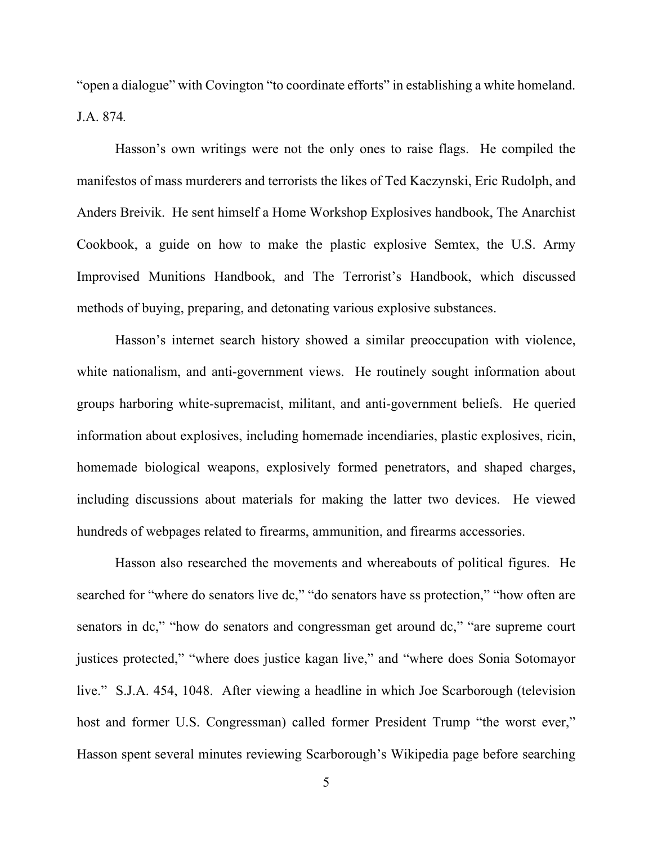"open a dialogue" with Covington "to coordinate efforts" in establishing a white homeland. J.A. 874*.*

Hasson's own writings were not the only ones to raise flags. He compiled the manifestos of mass murderers and terrorists the likes of Ted Kaczynski, Eric Rudolph, and Anders Breivik. He sent himself a Home Workshop Explosives handbook, The Anarchist Cookbook, a guide on how to make the plastic explosive Semtex, the U.S. Army Improvised Munitions Handbook, and The Terrorist's Handbook, which discussed methods of buying, preparing, and detonating various explosive substances.

Hasson's internet search history showed a similar preoccupation with violence, white nationalism, and anti-government views. He routinely sought information about groups harboring white-supremacist, militant, and anti-government beliefs. He queried information about explosives, including homemade incendiaries, plastic explosives, ricin, homemade biological weapons, explosively formed penetrators, and shaped charges, including discussions about materials for making the latter two devices. He viewed hundreds of webpages related to firearms, ammunition, and firearms accessories.

Hasson also researched the movements and whereabouts of political figures. He searched for "where do senators live dc," "do senators have ss protection," "how often are senators in dc," "how do senators and congressman get around dc," "are supreme court justices protected," "where does justice kagan live," and "where does Sonia Sotomayor live." S.J.A. 454, 1048. After viewing a headline in which Joe Scarborough (television host and former U.S. Congressman) called former President Trump "the worst ever," Hasson spent several minutes reviewing Scarborough's Wikipedia page before searching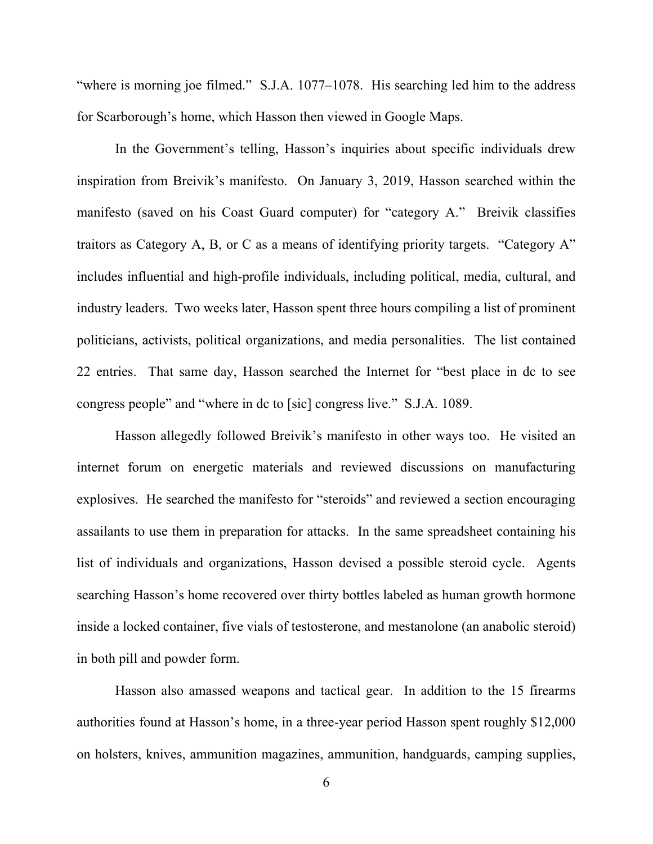"where is morning joe filmed." S.J.A. 1077–1078. His searching led him to the address for Scarborough's home, which Hasson then viewed in Google Maps.

In the Government's telling, Hasson's inquiries about specific individuals drew inspiration from Breivik's manifesto. On January 3, 2019, Hasson searched within the manifesto (saved on his Coast Guard computer) for "category A." Breivik classifies traitors as Category A, B, or C as a means of identifying priority targets. "Category A" includes influential and high-profile individuals, including political, media, cultural, and industry leaders. Two weeks later, Hasson spent three hours compiling a list of prominent politicians, activists, political organizations, and media personalities. The list contained 22 entries. That same day, Hasson searched the Internet for "best place in dc to see congress people" and "where in dc to [sic] congress live." S.J.A. 1089.

Hasson allegedly followed Breivik's manifesto in other ways too. He visited an internet forum on energetic materials and reviewed discussions on manufacturing explosives. He searched the manifesto for "steroids" and reviewed a section encouraging assailants to use them in preparation for attacks. In the same spreadsheet containing his list of individuals and organizations, Hasson devised a possible steroid cycle. Agents searching Hasson's home recovered over thirty bottles labeled as human growth hormone inside a locked container, five vials of testosterone, and mestanolone (an anabolic steroid) in both pill and powder form.

Hasson also amassed weapons and tactical gear. In addition to the 15 firearms authorities found at Hasson's home, in a three-year period Hasson spent roughly \$12,000 on holsters, knives, ammunition magazines, ammunition, handguards, camping supplies,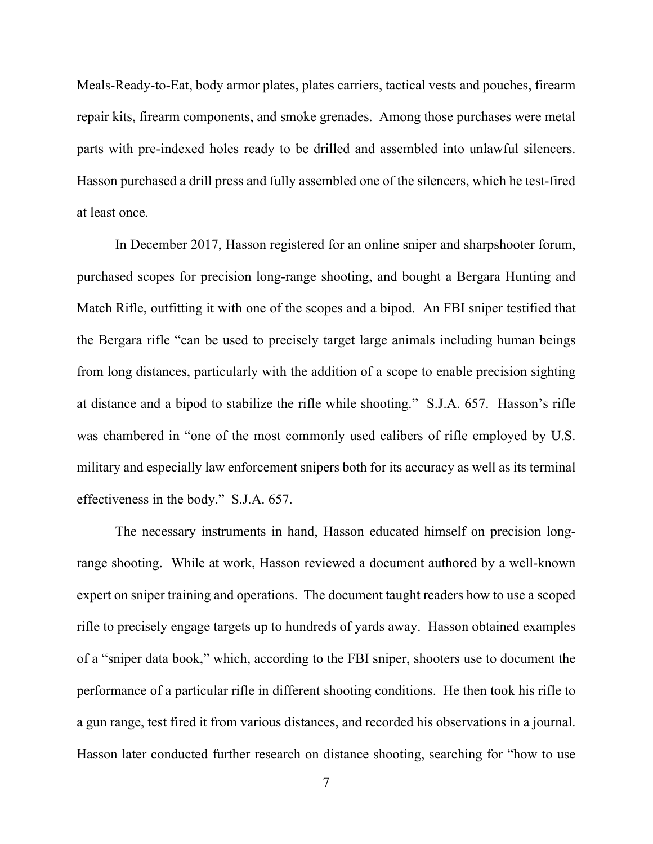Meals-Ready-to-Eat, body armor plates, plates carriers, tactical vests and pouches, firearm repair kits, firearm components, and smoke grenades. Among those purchases were metal parts with pre-indexed holes ready to be drilled and assembled into unlawful silencers. Hasson purchased a drill press and fully assembled one of the silencers, which he test-fired at least once.

In December 2017, Hasson registered for an online sniper and sharpshooter forum, purchased scopes for precision long-range shooting, and bought a Bergara Hunting and Match Rifle, outfitting it with one of the scopes and a bipod. An FBI sniper testified that the Bergara rifle "can be used to precisely target large animals including human beings from long distances, particularly with the addition of a scope to enable precision sighting at distance and a bipod to stabilize the rifle while shooting." S.J.A. 657. Hasson's rifle was chambered in "one of the most commonly used calibers of rifle employed by U.S. military and especially law enforcement snipers both for its accuracy as well as its terminal effectiveness in the body." S.J.A. 657.

The necessary instruments in hand, Hasson educated himself on precision longrange shooting. While at work, Hasson reviewed a document authored by a well-known expert on sniper training and operations. The document taught readers how to use a scoped rifle to precisely engage targets up to hundreds of yards away. Hasson obtained examples of a "sniper data book," which, according to the FBI sniper, shooters use to document the performance of a particular rifle in different shooting conditions. He then took his rifle to a gun range, test fired it from various distances, and recorded his observations in a journal. Hasson later conducted further research on distance shooting, searching for "how to use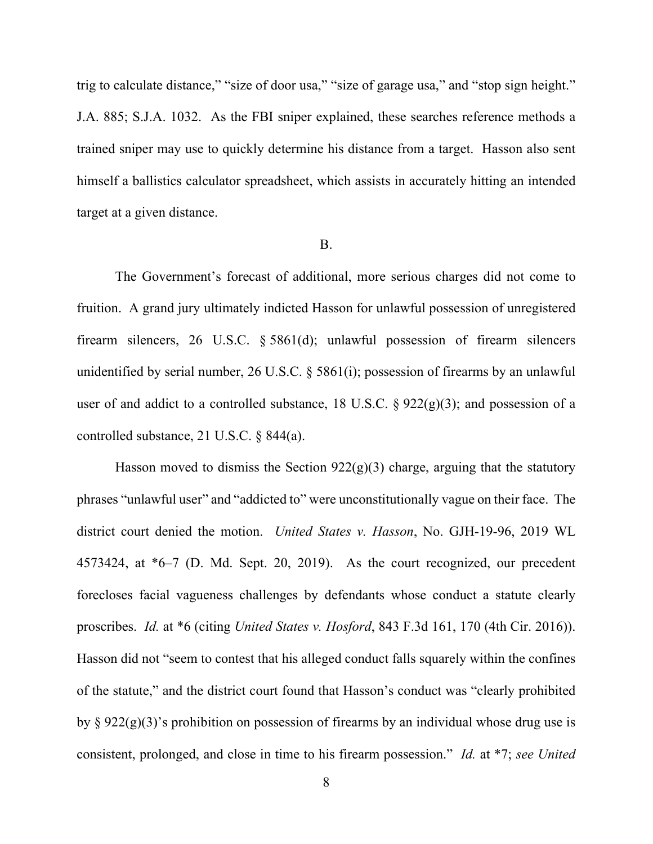trig to calculate distance," "size of door usa," "size of garage usa," and "stop sign height." J.A. 885; S.J.A. 1032. As the FBI sniper explained, these searches reference methods a trained sniper may use to quickly determine his distance from a target. Hasson also sent himself a ballistics calculator spreadsheet, which assists in accurately hitting an intended target at a given distance.

#### B.

The Government's forecast of additional, more serious charges did not come to fruition. A grand jury ultimately indicted Hasson for unlawful possession of unregistered firearm silencers, 26 U.S.C. § 5861(d); unlawful possession of firearm silencers unidentified by serial number, 26 U.S.C. § 5861(i); possession of firearms by an unlawful user of and addict to a controlled substance, 18 U.S.C.  $\S 922(g)(3)$ ; and possession of a controlled substance, 21 U.S.C. § 844(a).

Hasson moved to dismiss the Section  $922(g)(3)$  charge, arguing that the statutory phrases "unlawful user" and "addicted to" were unconstitutionally vague on their face. The district court denied the motion. *United States v. Hasson*, No. GJH-19-96, 2019 WL 4573424, at \*6–7 (D. Md. Sept. 20, 2019). As the court recognized, our precedent forecloses facial vagueness challenges by defendants whose conduct a statute clearly proscribes. *Id.* at \*6 (citing *United States v. Hosford*, 843 F.3d 161, 170 (4th Cir. 2016)). Hasson did not "seem to contest that his alleged conduct falls squarely within the confines of the statute," and the district court found that Hasson's conduct was "clearly prohibited by  $\S 922(g)(3)$ 's prohibition on possession of firearms by an individual whose drug use is consistent, prolonged, and close in time to his firearm possession." *Id.* at \*7; *see United*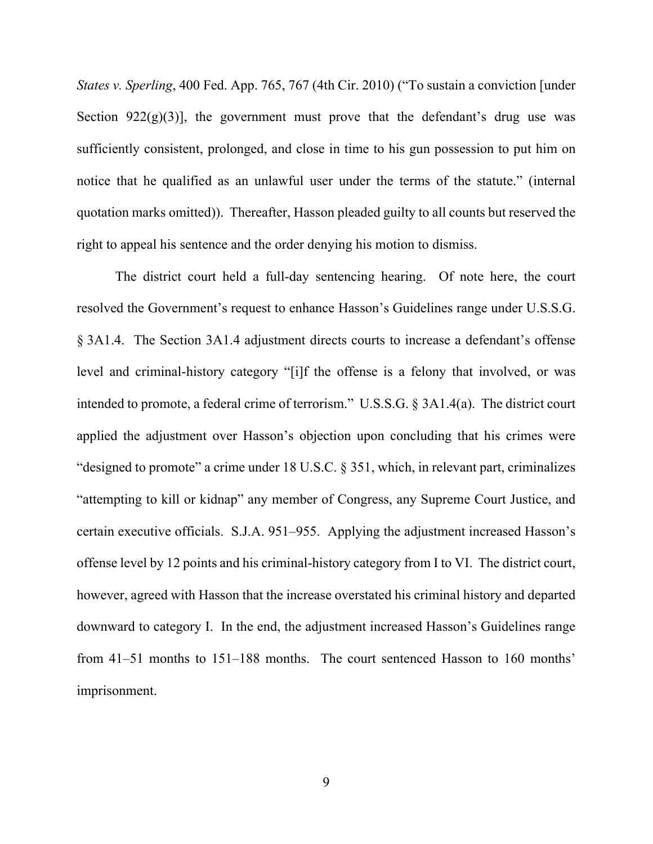*States v. Sperling*, 400 Fed. App. 765, 767 (4th Cir. 2010) ("To sustain a conviction [under Section 922 $(g)(3)$ ], the government must prove that the defendant's drug use was sufficiently consistent, prolonged, and close in time to his gun possession to put him on notice that he qualified as an unlawful user under the terms of the statute." (internal quotation marks omitted)). Thereafter, Hasson pleaded guilty to all counts but reserved the right to appeal his sentence and the order denying his motion to dismiss.

The district court held a full-day sentencing hearing. Of note here, the court resolved the Government's request to enhance Hasson's Guidelines range under U.S.S.G. § 3A1.4. The Section 3A1.4 adjustment directs courts to increase a defendant's offense level and criminal-history category "[i]f the offense is a felony that involved, or was intended to promote, a federal crime of terrorism." U.S.S.G. § 3A1.4(a). The district court applied the adjustment over Hasson's objection upon concluding that his crimes were "designed to promote" a crime under 18 U.S.C. § 351, which, in relevant part, criminalizes "attempting to kill or kidnap" any member of Congress, any Supreme Court Justice, and certain executive officials. S.J.A. 951–955. Applying the adjustment increased Hasson's offense level by 12 points and his criminal-history category from I to VI. The district court, however, agreed with Hasson that the increase overstated his criminal history and departed downward to category I. In the end, the adjustment increased Hasson's Guidelines range from 41–51 months to 151–188 months. The court sentenced Hasson to 160 months' imprisonment.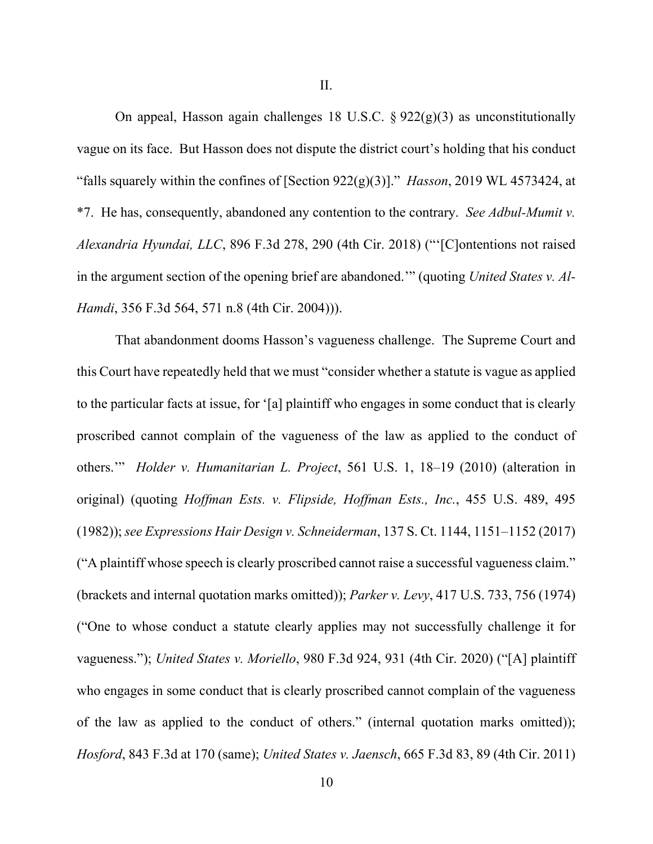II.

On appeal, Hasson again challenges 18 U.S.C.  $\S 922(g)(3)$  as unconstitutionally vague on its face. But Hasson does not dispute the district court's holding that his conduct "falls squarely within the confines of [Section 922(g)(3)]." *Hasson*, 2019 WL 4573424, at \*7. He has, consequently, abandoned any contention to the contrary. *See Adbul-Mumit v. Alexandria Hyundai, LLC*, 896 F.3d 278, 290 (4th Cir. 2018) ("'[C]ontentions not raised in the argument section of the opening brief are abandoned.'" (quoting *United States v. Al-Hamdi*, 356 F.3d 564, 571 n.8 (4th Cir. 2004))).

That abandonment dooms Hasson's vagueness challenge. The Supreme Court and this Court have repeatedly held that we must "consider whether a statute is vague as applied to the particular facts at issue, for '[a] plaintiff who engages in some conduct that is clearly proscribed cannot complain of the vagueness of the law as applied to the conduct of others.'" *Holder v. Humanitarian L. Project*, 561 U.S. 1, 18–19 (2010) (alteration in original) (quoting *Hoffman Ests. v. Flipside, Hoffman Ests., Inc.*, 455 U.S. 489, 495 (1982)); *see Expressions Hair Design v. Schneiderman*, 137 S. Ct. 1144, 1151–1152 (2017) ("A plaintiff whose speech is clearly proscribed cannot raise a successful vagueness claim." (brackets and internal quotation marks omitted)); *Parker v. Levy*, 417 U.S. 733, 756 (1974) ("One to whose conduct a statute clearly applies may not successfully challenge it for vagueness."); *United States v. Moriello*, 980 F.3d 924, 931 (4th Cir. 2020) ("[A] plaintiff who engages in some conduct that is clearly proscribed cannot complain of the vagueness of the law as applied to the conduct of others." (internal quotation marks omitted)); *Hosford*, 843 F.3d at 170 (same); *United States v. Jaensch*, 665 F.3d 83, 89 (4th Cir. 2011)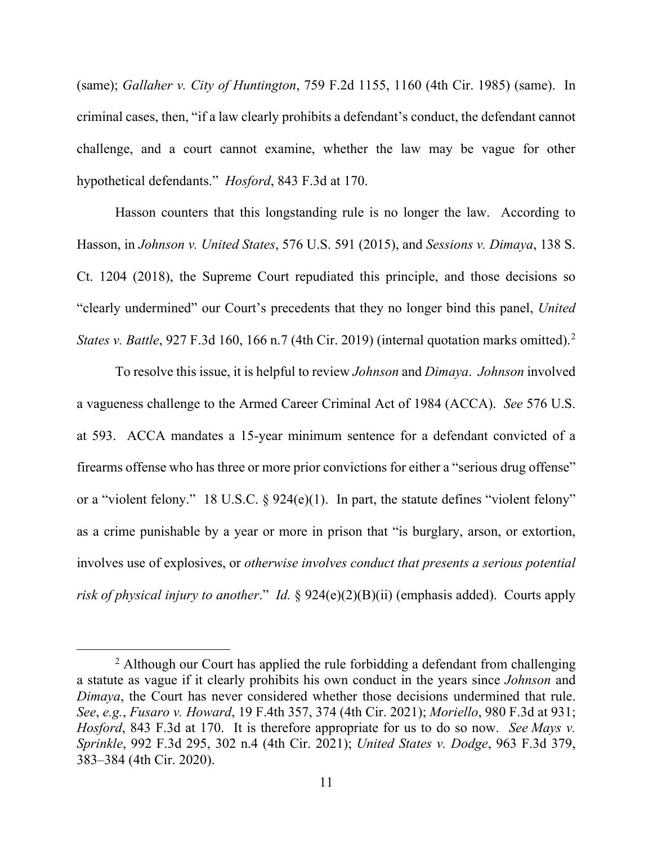(same); *Gallaher v. City of Huntington*, 759 F.2d 1155, 1160 (4th Cir. 1985) (same). In criminal cases, then, "if a law clearly prohibits a defendant's conduct, the defendant cannot challenge, and a court cannot examine, whether the law may be vague for other hypothetical defendants." *Hosford*, 843 F.3d at 170.

Hasson counters that this longstanding rule is no longer the law. According to Hasson, in *Johnson v. United States*, 576 U.S. 591 (2015), and *Sessions v. Dimaya*, 138 S. Ct. 1204 (2018), the Supreme Court repudiated this principle, and those decisions so "clearly undermined" our Court's precedents that they no longer bind this panel, *United States v. Battle*, 927 F.3d 160, 166 n.7 (4th Cir. 2019) (internal quotation marks omitted). [2](#page-10-0)

To resolve this issue, it is helpful to review *Johnson* and *Dimaya*. *Johnson* involved a vagueness challenge to the Armed Career Criminal Act of 1984 (ACCA). *See* 576 U.S. at 593. ACCA mandates a 15-year minimum sentence for a defendant convicted of a firearms offense who has three or more prior convictions for either a "serious drug offense" or a "violent felony." 18 U.S.C. § 924(e)(1). In part, the statute defines "violent felony" as a crime punishable by a year or more in prison that "is burglary, arson, or extortion, involves use of explosives, or *otherwise involves conduct that presents a serious potential risk of physical injury to another*." *Id.* § 924(e)(2)(B)(ii) (emphasis added). Courts apply

<span id="page-10-0"></span> $2$  Although our Court has applied the rule forbidding a defendant from challenging a statute as vague if it clearly prohibits his own conduct in the years since *Johnson* and *Dimaya*, the Court has never considered whether those decisions undermined that rule. *See*, *e.g.*, *Fusaro v. Howard*, 19 F.4th 357, 374 (4th Cir. 2021); *Moriello*, 980 F.3d at 931; *Hosford*, 843 F.3d at 170. It is therefore appropriate for us to do so now. *See Mays v. Sprinkle*, 992 F.3d 295, 302 n.4 (4th Cir. 2021); *United States v. Dodge*, 963 F.3d 379, 383–384 (4th Cir. 2020).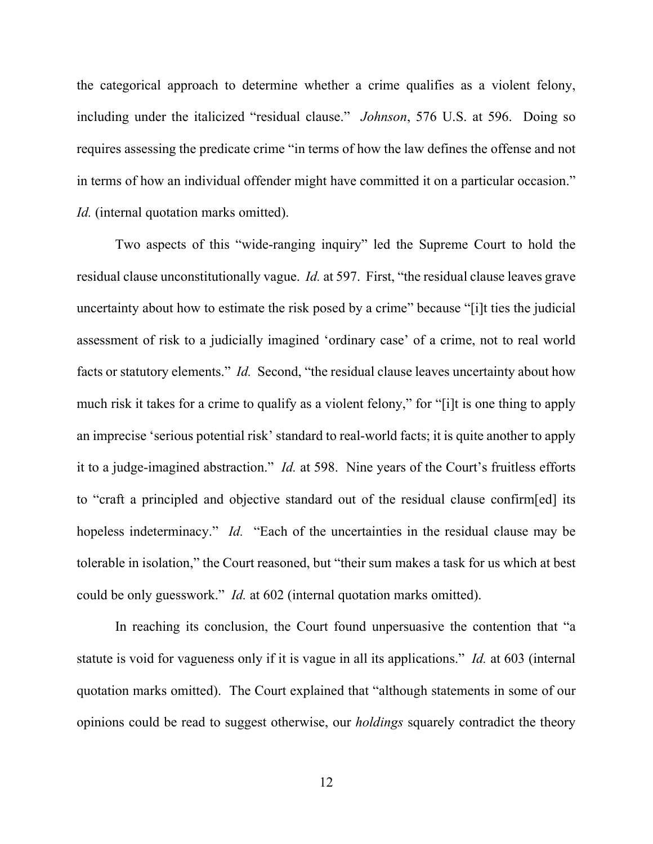the categorical approach to determine whether a crime qualifies as a violent felony, including under the italicized "residual clause." *Johnson*, 576 U.S. at 596. Doing so requires assessing the predicate crime "in terms of how the law defines the offense and not in terms of how an individual offender might have committed it on a particular occasion." *Id.* (internal quotation marks omitted).

Two aspects of this "wide-ranging inquiry" led the Supreme Court to hold the residual clause unconstitutionally vague. *Id.* at 597. First, "the residual clause leaves grave uncertainty about how to estimate the risk posed by a crime" because "[i]t ties the judicial assessment of risk to a judicially imagined 'ordinary case' of a crime, not to real world facts or statutory elements." *Id.* Second, "the residual clause leaves uncertainty about how much risk it takes for a crime to qualify as a violent felony," for "[i]t is one thing to apply an imprecise 'serious potential risk' standard to real-world facts; it is quite another to apply it to a judge-imagined abstraction." *Id.* at 598. Nine years of the Court's fruitless efforts to "craft a principled and objective standard out of the residual clause confirm[ed] its hopeless indeterminacy." *Id.* "Each of the uncertainties in the residual clause may be tolerable in isolation," the Court reasoned, but "their sum makes a task for us which at best could be only guesswork." *Id.* at 602 (internal quotation marks omitted).

In reaching its conclusion, the Court found unpersuasive the contention that "a statute is void for vagueness only if it is vague in all its applications." *Id.* at 603 (internal quotation marks omitted). The Court explained that "although statements in some of our opinions could be read to suggest otherwise, our *holdings* squarely contradict the theory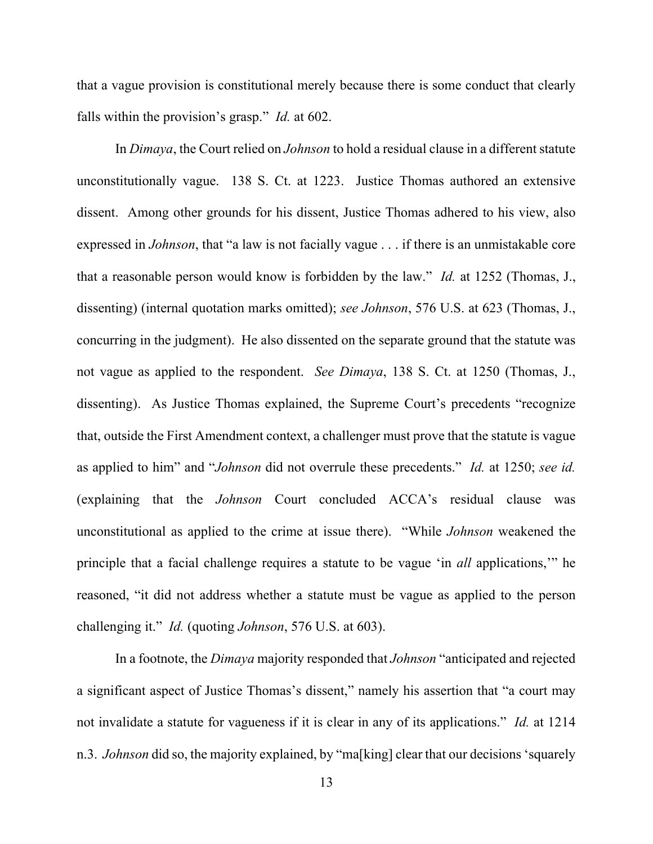that a vague provision is constitutional merely because there is some conduct that clearly falls within the provision's grasp." *Id.* at 602.

In *Dimaya*, the Court relied on *Johnson* to hold a residual clause in a different statute unconstitutionally vague. 138 S. Ct. at 1223. Justice Thomas authored an extensive dissent. Among other grounds for his dissent, Justice Thomas adhered to his view, also expressed in *Johnson*, that "a law is not facially vague . . . if there is an unmistakable core that a reasonable person would know is forbidden by the law." *Id.* at 1252 (Thomas, J., dissenting) (internal quotation marks omitted); *see Johnson*, 576 U.S. at 623 (Thomas, J., concurring in the judgment). He also dissented on the separate ground that the statute was not vague as applied to the respondent. *See Dimaya*, 138 S. Ct. at 1250 (Thomas, J., dissenting). As Justice Thomas explained, the Supreme Court's precedents "recognize that, outside the First Amendment context, a challenger must prove that the statute is vague as applied to him" and "*Johnson* did not overrule these precedents." *Id.* at 1250; *see id.* (explaining that the *Johnson* Court concluded ACCA's residual clause was unconstitutional as applied to the crime at issue there). "While *Johnson* weakened the principle that a facial challenge requires a statute to be vague 'in *all* applications,'" he reasoned, "it did not address whether a statute must be vague as applied to the person challenging it." *Id.* (quoting *Johnson*, 576 U.S. at 603).

In a footnote, the *Dimaya* majority responded that *Johnson* "anticipated and rejected a significant aspect of Justice Thomas's dissent," namely his assertion that "a court may not invalidate a statute for vagueness if it is clear in any of its applications." *Id.* at 1214 n.3. *Johnson* did so, the majority explained, by "ma[king] clear that our decisions 'squarely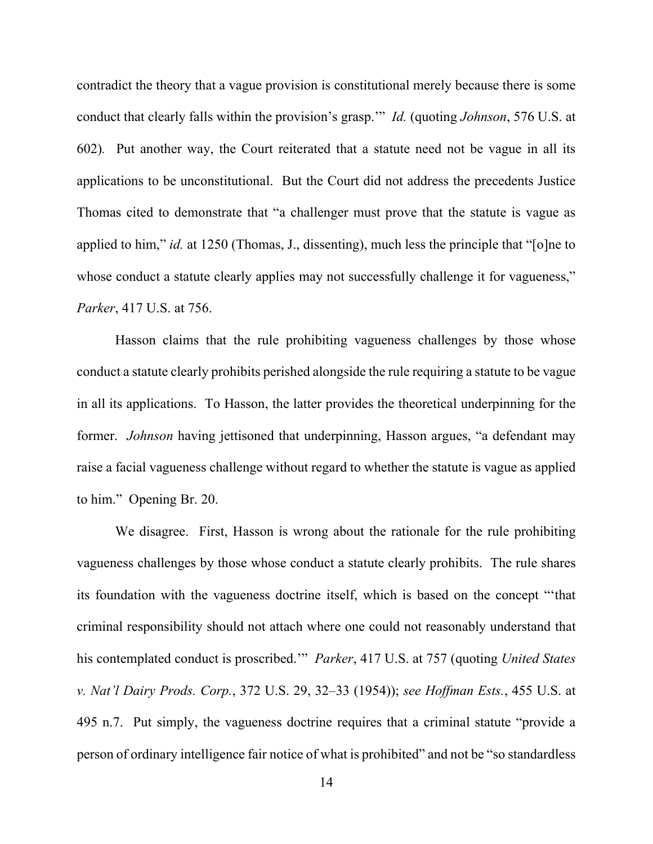contradict the theory that a vague provision is constitutional merely because there is some conduct that clearly falls within the provision's grasp.'" *Id.* (quoting *Johnson*, 576 U.S. at 602)*.* Put another way, the Court reiterated that a statute need not be vague in all its applications to be unconstitutional. But the Court did not address the precedents Justice Thomas cited to demonstrate that "a challenger must prove that the statute is vague as applied to him," *id.* at 1250 (Thomas, J., dissenting), much less the principle that "[o]ne to whose conduct a statute clearly applies may not successfully challenge it for vagueness," *Parker*, 417 U.S. at 756.

Hasson claims that the rule prohibiting vagueness challenges by those whose conduct a statute clearly prohibits perished alongside the rule requiring a statute to be vague in all its applications. To Hasson, the latter provides the theoretical underpinning for the former. *Johnson* having jettisoned that underpinning, Hasson argues, "a defendant may raise a facial vagueness challenge without regard to whether the statute is vague as applied to him." Opening Br. 20.

We disagree. First, Hasson is wrong about the rationale for the rule prohibiting vagueness challenges by those whose conduct a statute clearly prohibits. The rule shares its foundation with the vagueness doctrine itself, which is based on the concept "'that criminal responsibility should not attach where one could not reasonably understand that his contemplated conduct is proscribed.'" *Parker*, 417 U.S. at 757 (quoting *United States v. Nat'l Dairy Prods. Corp.*, 372 U.S. 29, 32–33 (1954)); *see Hoffman Ests.*, 455 U.S. at 495 n.7. Put simply, the vagueness doctrine requires that a criminal statute "provide a person of ordinary intelligence fair notice of what is prohibited" and not be "so standardless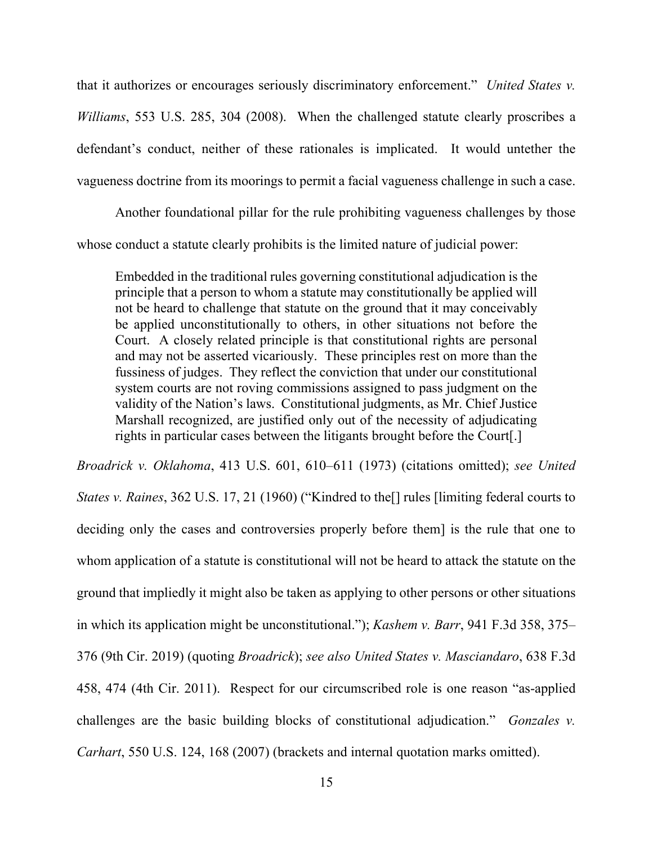that it authorizes or encourages seriously discriminatory enforcement." *United States v. Williams*, 553 U.S. 285, 304 (2008). When the challenged statute clearly proscribes a defendant's conduct, neither of these rationales is implicated. It would untether the vagueness doctrine from its moorings to permit a facial vagueness challenge in such a case.

Another foundational pillar for the rule prohibiting vagueness challenges by those whose conduct a statute clearly prohibits is the limited nature of judicial power:

Embedded in the traditional rules governing constitutional adjudication is the principle that a person to whom a statute may constitutionally be applied will not be heard to challenge that statute on the ground that it may conceivably be applied unconstitutionally to others, in other situations not before the Court. A closely related principle is that constitutional rights are personal and may not be asserted vicariously. These principles rest on more than the fussiness of judges. They reflect the conviction that under our constitutional system courts are not roving commissions assigned to pass judgment on the validity of the Nation's laws. Constitutional judgments, as Mr. Chief Justice Marshall recognized, are justified only out of the necessity of adjudicating rights in particular cases between the litigants brought before the Court[.]

*Broadrick v. Oklahoma*, 413 U.S. 601, 610–611 (1973) (citations omitted); *see United States v. Raines*, 362 U.S. 17, 21 (1960) ("Kindred to the[] rules [limiting federal courts to deciding only the cases and controversies properly before them] is the rule that one to whom application of a statute is constitutional will not be heard to attack the statute on the ground that impliedly it might also be taken as applying to other persons or other situations in which its application might be unconstitutional."); *Kashem v. Barr*, 941 F.3d 358, 375– 376 (9th Cir. 2019) (quoting *Broadrick*); *see also United States v. Masciandaro*, 638 F.3d 458, 474 (4th Cir. 2011). Respect for our circumscribed role is one reason "as-applied challenges are the basic building blocks of constitutional adjudication." *Gonzales v. Carhart*, 550 U.S. 124, 168 (2007) (brackets and internal quotation marks omitted).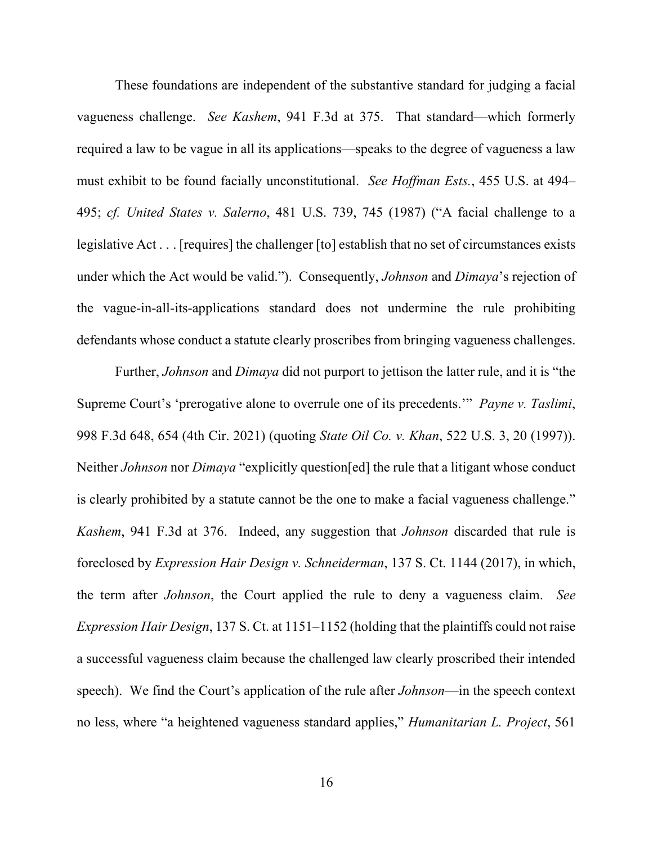These foundations are independent of the substantive standard for judging a facial vagueness challenge. *See Kashem*, 941 F.3d at 375. That standard—which formerly required a law to be vague in all its applications—speaks to the degree of vagueness a law must exhibit to be found facially unconstitutional. *See Hoffman Ests.*, 455 U.S. at 494– 495; *cf. United States v. Salerno*, 481 U.S. 739, 745 (1987) ("A facial challenge to a legislative Act . . . [requires] the challenger [to] establish that no set of circumstances exists under which the Act would be valid."). Consequently, *Johnson* and *Dimaya*'s rejection of the vague-in-all-its-applications standard does not undermine the rule prohibiting defendants whose conduct a statute clearly proscribes from bringing vagueness challenges.

Further, *Johnson* and *Dimaya* did not purport to jettison the latter rule, and it is "the Supreme Court's 'prerogative alone to overrule one of its precedents.'" *Payne v. Taslimi*, 998 F.3d 648, 654 (4th Cir. 2021) (quoting *State Oil Co. v. Khan*, 522 U.S. 3, 20 (1997)). Neither *Johnson* nor *Dimaya* "explicitly question[ed] the rule that a litigant whose conduct is clearly prohibited by a statute cannot be the one to make a facial vagueness challenge." *Kashem*, 941 F.3d at 376. Indeed, any suggestion that *Johnson* discarded that rule is foreclosed by *Expression Hair Design v. Schneiderman*, 137 S. Ct. 1144 (2017), in which, the term after *Johnson*, the Court applied the rule to deny a vagueness claim. *See Expression Hair Design*, 137 S. Ct. at 1151–1152 (holding that the plaintiffs could not raise a successful vagueness claim because the challenged law clearly proscribed their intended speech). We find the Court's application of the rule after *Johnson*—in the speech context no less, where "a heightened vagueness standard applies," *Humanitarian L. Project*, 561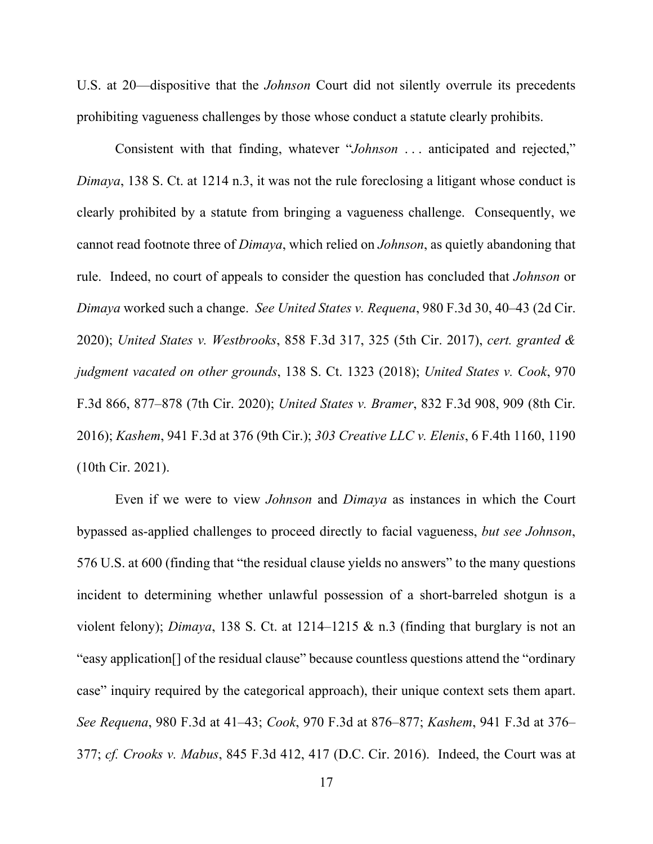U.S. at 20—dispositive that the *Johnson* Court did not silently overrule its precedents prohibiting vagueness challenges by those whose conduct a statute clearly prohibits.

Consistent with that finding, whatever "*Johnson* . . . anticipated and rejected," *Dimaya*, 138 S. Ct. at 1214 n.3, it was not the rule foreclosing a litigant whose conduct is clearly prohibited by a statute from bringing a vagueness challenge. Consequently, we cannot read footnote three of *Dimaya*, which relied on *Johnson*, as quietly abandoning that rule. Indeed, no court of appeals to consider the question has concluded that *Johnson* or *Dimaya* worked such a change. *See United States v. Requena*, 980 F.3d 30, 40–43 (2d Cir. 2020); *United States v. Westbrooks*, 858 F.3d 317, 325 (5th Cir. 2017), *cert. granted & judgment vacated on other grounds*, 138 S. Ct. 1323 (2018); *United States v. Cook*, 970 F.3d 866, 877–878 (7th Cir. 2020); *United States v. Bramer*, 832 F.3d 908, 909 (8th Cir. 2016); *Kashem*, 941 F.3d at 376 (9th Cir.); *303 Creative LLC v. Elenis*, 6 F.4th 1160, 1190 (10th Cir. 2021).

Even if we were to view *Johnson* and *Dimaya* as instances in which the Court bypassed as-applied challenges to proceed directly to facial vagueness, *but see Johnson*, 576 U.S. at 600 (finding that "the residual clause yields no answers" to the many questions incident to determining whether unlawful possession of a short-barreled shotgun is a violent felony); *Dimaya*, 138 S. Ct. at 1214–1215 & n.3 (finding that burglary is not an "easy application[] of the residual clause" because countless questions attend the "ordinary case" inquiry required by the categorical approach), their unique context sets them apart. *See Requena*, 980 F.3d at 41–43; *Cook*, 970 F.3d at 876–877; *Kashem*, 941 F.3d at 376– 377; *cf. Crooks v. Mabus*, 845 F.3d 412, 417 (D.C. Cir. 2016). Indeed, the Court was at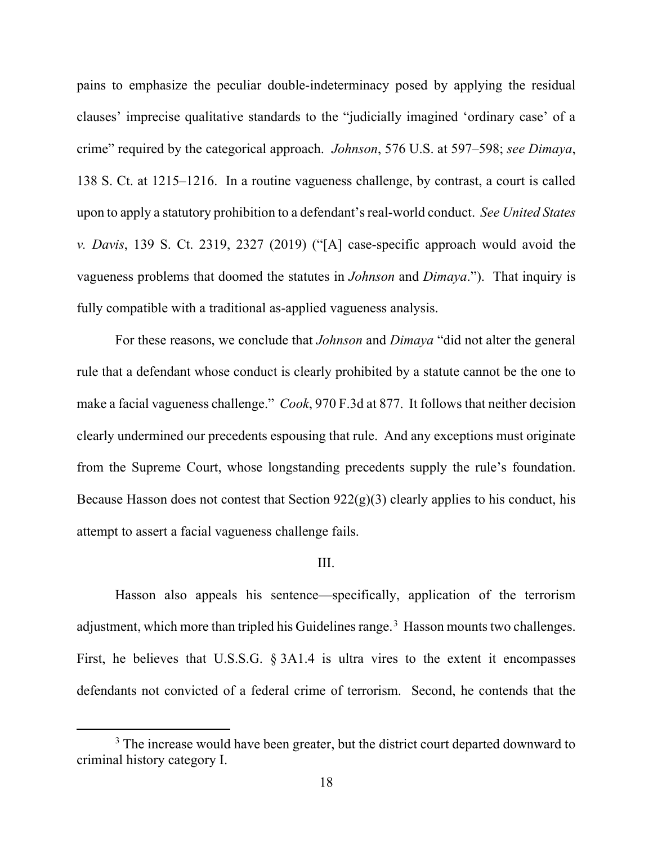pains to emphasize the peculiar double-indeterminacy posed by applying the residual clauses' imprecise qualitative standards to the "judicially imagined 'ordinary case' of a crime" required by the categorical approach. *Johnson*, 576 U.S. at 597–598; *see Dimaya*, 138 S. Ct. at 1215–1216. In a routine vagueness challenge, by contrast, a court is called upon to apply a statutory prohibition to a defendant's real-world conduct. *See United States v. Davis*, 139 S. Ct. 2319, 2327 (2019) ("[A] case-specific approach would avoid the vagueness problems that doomed the statutes in *Johnson* and *Dimaya*."). That inquiry is fully compatible with a traditional as-applied vagueness analysis.

For these reasons, we conclude that *Johnson* and *Dimaya* "did not alter the general rule that a defendant whose conduct is clearly prohibited by a statute cannot be the one to make a facial vagueness challenge." *Cook*, 970 F.3d at 877. It follows that neither decision clearly undermined our precedents espousing that rule. And any exceptions must originate from the Supreme Court, whose longstanding precedents supply the rule's foundation. Because Hasson does not contest that Section  $922(g)(3)$  clearly applies to his conduct, his attempt to assert a facial vagueness challenge fails.

## III.

Hasson also appeals his sentence—specifically, application of the terrorism adjustment, which more than tripled his Guidelines range.<sup>[3](#page-17-0)</sup> Hasson mounts two challenges. First, he believes that U.S.S.G. § 3A1.4 is ultra vires to the extent it encompasses defendants not convicted of a federal crime of terrorism. Second, he contends that the

<span id="page-17-0"></span><sup>&</sup>lt;sup>3</sup> The increase would have been greater, but the district court departed downward to criminal history category I.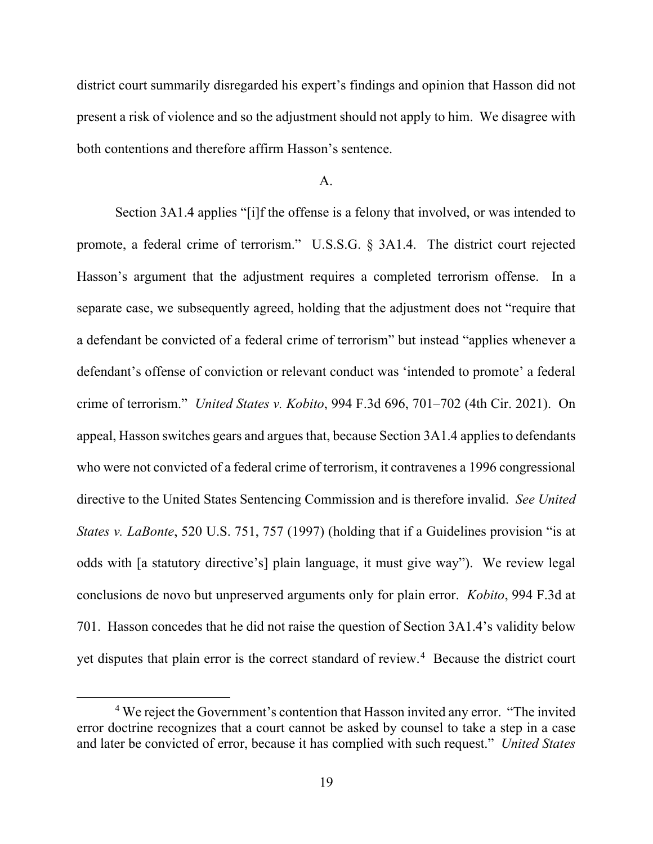district court summarily disregarded his expert's findings and opinion that Hasson did not present a risk of violence and so the adjustment should not apply to him. We disagree with both contentions and therefore affirm Hasson's sentence.

### A.

Section 3A1.4 applies "[i]f the offense is a felony that involved, or was intended to promote, a federal crime of terrorism." U.S.S.G. § 3A1.4. The district court rejected Hasson's argument that the adjustment requires a completed terrorism offense. In a separate case, we subsequently agreed, holding that the adjustment does not "require that a defendant be convicted of a federal crime of terrorism" but instead "applies whenever a defendant's offense of conviction or relevant conduct was 'intended to promote' a federal crime of terrorism." *United States v. Kobito*, 994 F.3d 696, 701–702 (4th Cir. 2021). On appeal, Hasson switches gears and argues that, because Section 3A1.4 applies to defendants who were not convicted of a federal crime of terrorism, it contravenes a 1996 congressional directive to the United States Sentencing Commission and is therefore invalid. *See United States v. LaBonte*, 520 U.S. 751, 757 (1997) (holding that if a Guidelines provision "is at odds with [a statutory directive's] plain language, it must give way"). We review legal conclusions de novo but unpreserved arguments only for plain error. *Kobito*, 994 F.3d at 701. Hasson concedes that he did not raise the question of Section 3A1.4's validity below yet disputes that plain error is the correct standard of review. [4](#page-18-0) Because the district court

<span id="page-18-0"></span><sup>4</sup> We reject the Government's contention that Hasson invited any error. "The invited error doctrine recognizes that a court cannot be asked by counsel to take a step in a case and later be convicted of error, because it has complied with such request." *United States*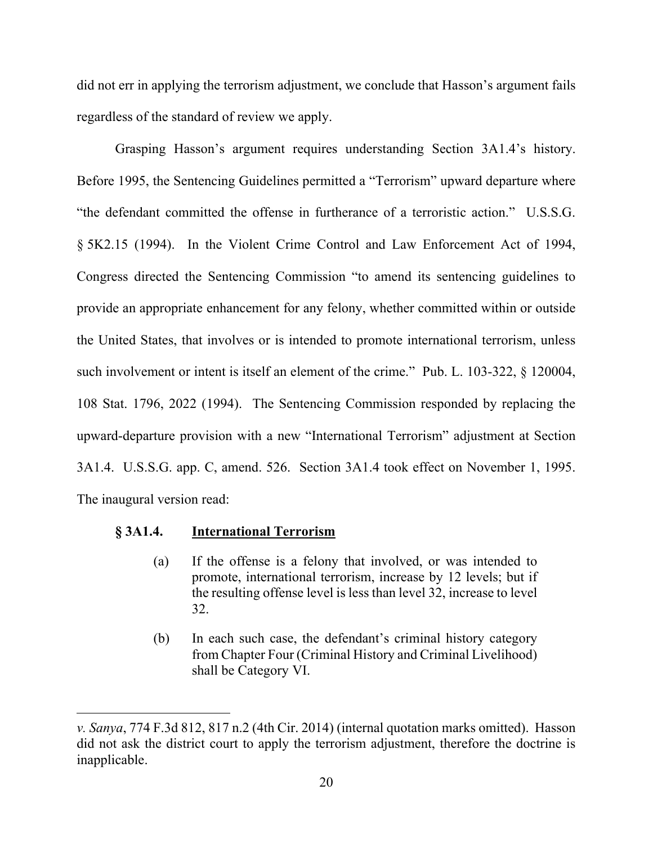did not err in applying the terrorism adjustment, we conclude that Hasson's argument fails regardless of the standard of review we apply.

Grasping Hasson's argument requires understanding Section 3A1.4's history. Before 1995, the Sentencing Guidelines permitted a "Terrorism" upward departure where "the defendant committed the offense in furtherance of a terroristic action." U.S.S.G. § 5K2.15 (1994). In the Violent Crime Control and Law Enforcement Act of 1994, Congress directed the Sentencing Commission "to amend its sentencing guidelines to provide an appropriate enhancement for any felony, whether committed within or outside the United States, that involves or is intended to promote international terrorism, unless such involvement or intent is itself an element of the crime." Pub. L. 103-322, § 120004, 108 Stat. 1796, 2022 (1994). The Sentencing Commission responded by replacing the upward-departure provision with a new "International Terrorism" adjustment at Section 3A1.4. U.S.S.G. app. C, amend. 526. Section 3A1.4 took effect on November 1, 1995. The inaugural version read:

## **§ 3A1.4. International Terrorism**

- (a) If the offense is a felony that involved, or was intended to promote, international terrorism, increase by 12 levels; but if the resulting offense level is less than level 32, increase to level 32.
- (b) In each such case, the defendant's criminal history category from Chapter Four (Criminal History and Criminal Livelihood) shall be Category VI.

*v. Sanya*, 774 F.3d 812, 817 n.2 (4th Cir. 2014) (internal quotation marks omitted). Hasson did not ask the district court to apply the terrorism adjustment, therefore the doctrine is inapplicable.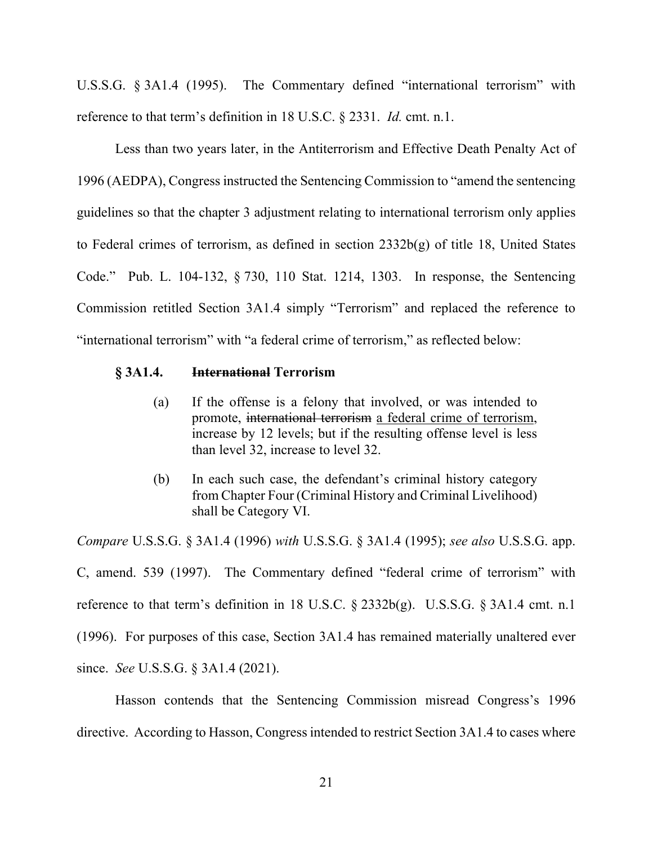U.S.S.G. § 3A1.4 (1995). The Commentary defined "international terrorism" with reference to that term's definition in 18 U.S.C. § 2331. *Id.* cmt. n.1.

Less than two years later, in the Antiterrorism and Effective Death Penalty Act of 1996 (AEDPA), Congress instructed the Sentencing Commission to "amend the sentencing guidelines so that the chapter 3 adjustment relating to international terrorism only applies to Federal crimes of terrorism, as defined in section 2332b(g) of title 18, United States Code." Pub. L. 104-132, § 730, 110 Stat. 1214, 1303. In response, the Sentencing Commission retitled Section 3A1.4 simply "Terrorism" and replaced the reference to "international terrorism" with "a federal crime of terrorism," as reflected below:

## **§ 3A1.4. International Terrorism**

- (a) If the offense is a felony that involved, or was intended to promote, international terrorism a federal crime of terrorism, increase by 12 levels; but if the resulting offense level is less than level 32, increase to level 32.
- (b) In each such case, the defendant's criminal history category from Chapter Four (Criminal History and Criminal Livelihood) shall be Category VI.

*Compare* U.S.S.G. § 3A1.4 (1996) *with* U.S.S.G. § 3A1.4 (1995); *see also* U.S.S.G. app. C, amend. 539 (1997). The Commentary defined "federal crime of terrorism" with reference to that term's definition in 18 U.S.C.  $\S$  2332b(g). U.S.S.G.  $\S$  3A1.4 cmt. n.1 (1996). For purposes of this case, Section 3A1.4 has remained materially unaltered ever since. *See* U.S.S.G. § 3A1.4 (2021).

Hasson contends that the Sentencing Commission misread Congress's 1996 directive. According to Hasson, Congress intended to restrict Section 3A1.4 to cases where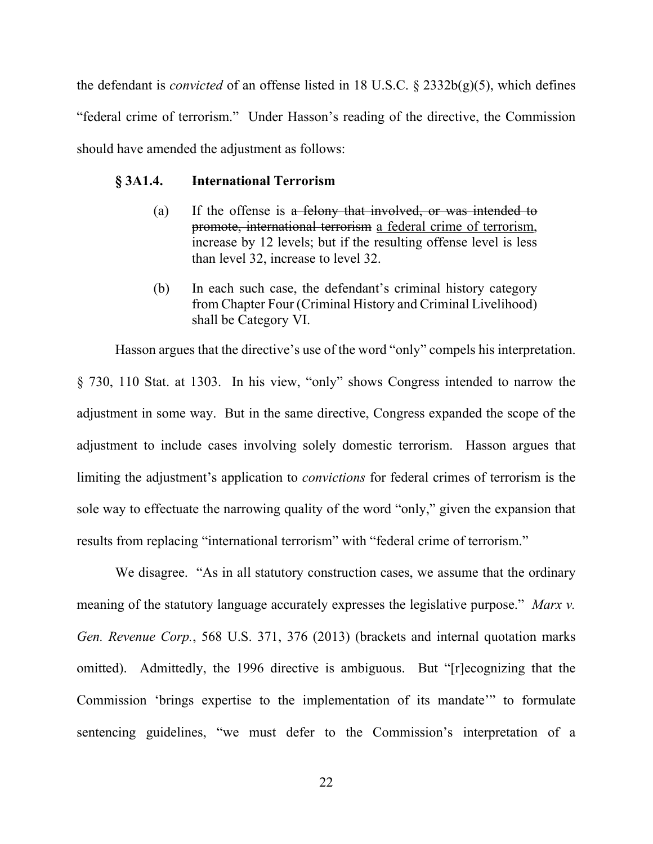the defendant is *convicted* of an offense listed in 18 U.S.C. § 2332b(g)(5), which defines "federal crime of terrorism." Under Hasson's reading of the directive, the Commission should have amended the adjustment as follows:

### **§ 3A1.4. International Terrorism**

- (a) If the offense is a felony that involved, or was intended to promote, international terrorism a federal crime of terrorism, increase by 12 levels; but if the resulting offense level is less than level 32, increase to level 32.
- (b) In each such case, the defendant's criminal history category from Chapter Four (Criminal History and Criminal Livelihood) shall be Category VI.

Hasson argues that the directive's use of the word "only" compels his interpretation. § 730, 110 Stat. at 1303. In his view, "only" shows Congress intended to narrow the adjustment in some way. But in the same directive, Congress expanded the scope of the adjustment to include cases involving solely domestic terrorism. Hasson argues that limiting the adjustment's application to *convictions* for federal crimes of terrorism is the sole way to effectuate the narrowing quality of the word "only," given the expansion that results from replacing "international terrorism" with "federal crime of terrorism."

We disagree. "As in all statutory construction cases, we assume that the ordinary meaning of the statutory language accurately expresses the legislative purpose." *Marx v. Gen. Revenue Corp.*, 568 U.S. 371, 376 (2013) (brackets and internal quotation marks omitted). Admittedly, the 1996 directive is ambiguous. But "[r]ecognizing that the Commission 'brings expertise to the implementation of its mandate'" to formulate sentencing guidelines, "we must defer to the Commission's interpretation of a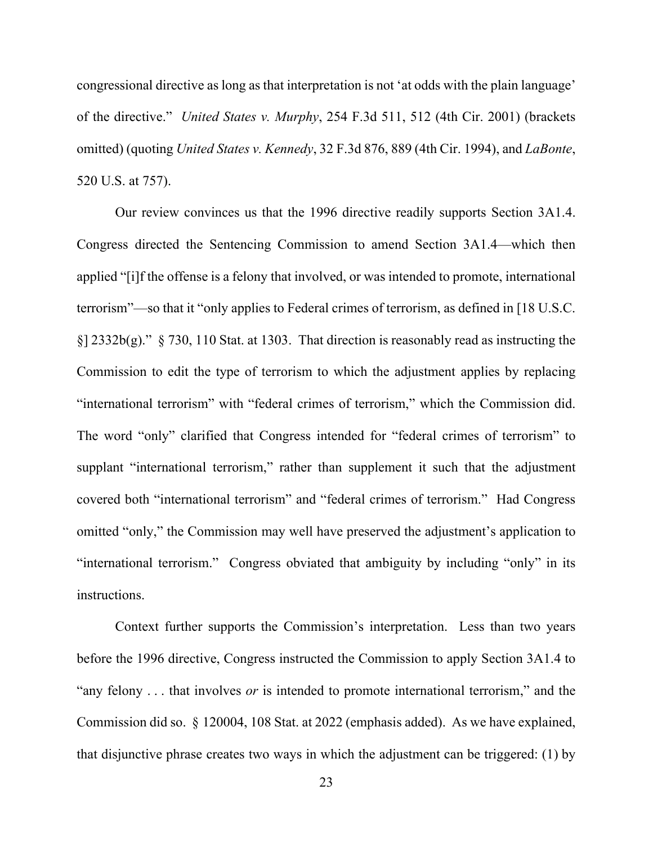congressional directive as long as that interpretation is not 'at odds with the plain language' of the directive." *United States v. Murphy*, 254 F.3d 511, 512 (4th Cir. 2001) (brackets omitted) (quoting *United States v. Kennedy*, 32 F.3d 876, 889 (4th Cir. 1994), and *LaBonte*, 520 U.S. at 757).

Our review convinces us that the 1996 directive readily supports Section 3A1.4. Congress directed the Sentencing Commission to amend Section 3A1.4—which then applied "[i]f the offense is a felony that involved, or was intended to promote, international terrorism"—so that it "only applies to Federal crimes of terrorism, as defined in [18 U.S.C.  $\S$ [2332b(g)."  $\S$  730, 110 Stat. at 1303. That direction is reasonably read as instructing the Commission to edit the type of terrorism to which the adjustment applies by replacing "international terrorism" with "federal crimes of terrorism," which the Commission did. The word "only" clarified that Congress intended for "federal crimes of terrorism" to supplant "international terrorism," rather than supplement it such that the adjustment covered both "international terrorism" and "federal crimes of terrorism." Had Congress omitted "only," the Commission may well have preserved the adjustment's application to "international terrorism." Congress obviated that ambiguity by including "only" in its instructions.

Context further supports the Commission's interpretation. Less than two years before the 1996 directive, Congress instructed the Commission to apply Section 3A1.4 to "any felony . . . that involves *or* is intended to promote international terrorism," and the Commission did so. § 120004, 108 Stat. at 2022 (emphasis added). As we have explained, that disjunctive phrase creates two ways in which the adjustment can be triggered: (1) by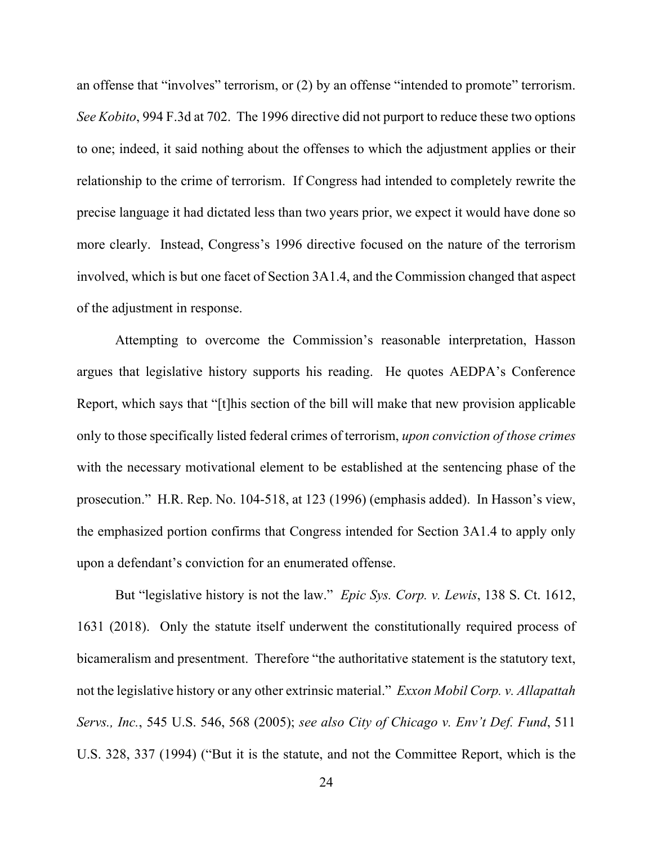an offense that "involves" terrorism, or (2) by an offense "intended to promote" terrorism. *See Kobito*, 994 F.3d at 702. The 1996 directive did not purport to reduce these two options to one; indeed, it said nothing about the offenses to which the adjustment applies or their relationship to the crime of terrorism. If Congress had intended to completely rewrite the precise language it had dictated less than two years prior, we expect it would have done so more clearly. Instead, Congress's 1996 directive focused on the nature of the terrorism involved, which is but one facet of Section 3A1.4, and the Commission changed that aspect of the adjustment in response.

Attempting to overcome the Commission's reasonable interpretation, Hasson argues that legislative history supports his reading. He quotes AEDPA's Conference Report, which says that "[t]his section of the bill will make that new provision applicable only to those specifically listed federal crimes of terrorism, *upon conviction of those crimes* with the necessary motivational element to be established at the sentencing phase of the prosecution." H.R. Rep. No. 104-518, at 123 (1996) (emphasis added). In Hasson's view, the emphasized portion confirms that Congress intended for Section 3A1.4 to apply only upon a defendant's conviction for an enumerated offense.

But "legislative history is not the law." *Epic Sys. Corp. v. Lewis*, 138 S. Ct. 1612, 1631 (2018). Only the statute itself underwent the constitutionally required process of bicameralism and presentment. Therefore "the authoritative statement is the statutory text, not the legislative history or any other extrinsic material." *Exxon Mobil Corp. v. Allapattah Servs., Inc.*, 545 U.S. 546, 568 (2005); *see also City of Chicago v. Env't Def. Fund*, 511 U.S. 328, 337 (1994) ("But it is the statute, and not the Committee Report, which is the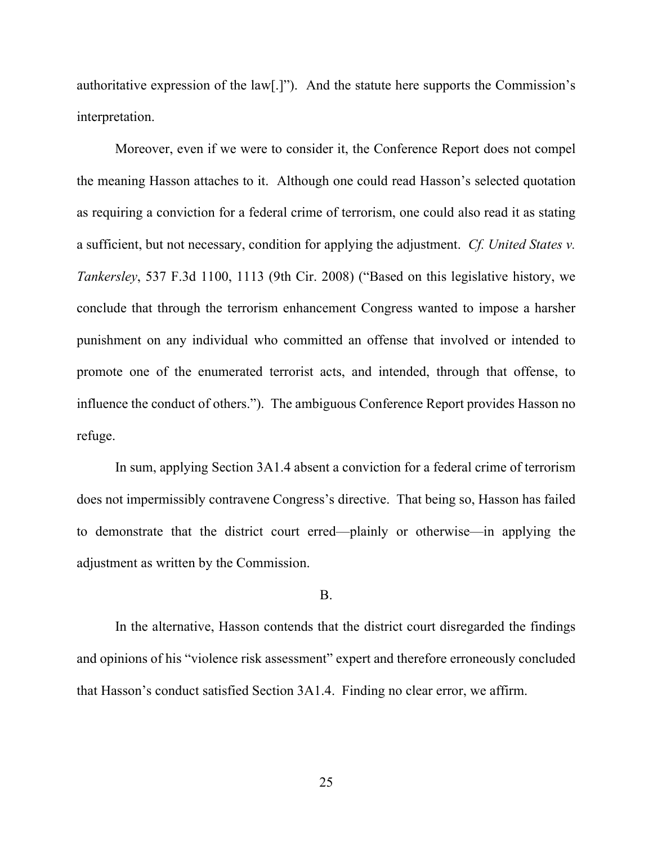authoritative expression of the law[.]"). And the statute here supports the Commission's interpretation.

Moreover, even if we were to consider it, the Conference Report does not compel the meaning Hasson attaches to it. Although one could read Hasson's selected quotation as requiring a conviction for a federal crime of terrorism, one could also read it as stating a sufficient, but not necessary, condition for applying the adjustment. *Cf. United States v. Tankersley*, 537 F.3d 1100, 1113 (9th Cir. 2008) ("Based on this legislative history, we conclude that through the terrorism enhancement Congress wanted to impose a harsher punishment on any individual who committed an offense that involved or intended to promote one of the enumerated terrorist acts, and intended, through that offense, to influence the conduct of others."). The ambiguous Conference Report provides Hasson no refuge.

In sum, applying Section 3A1.4 absent a conviction for a federal crime of terrorism does not impermissibly contravene Congress's directive. That being so, Hasson has failed to demonstrate that the district court erred—plainly or otherwise—in applying the adjustment as written by the Commission.

#### B.

In the alternative, Hasson contends that the district court disregarded the findings and opinions of his "violence risk assessment" expert and therefore erroneously concluded that Hasson's conduct satisfied Section 3A1.4. Finding no clear error, we affirm.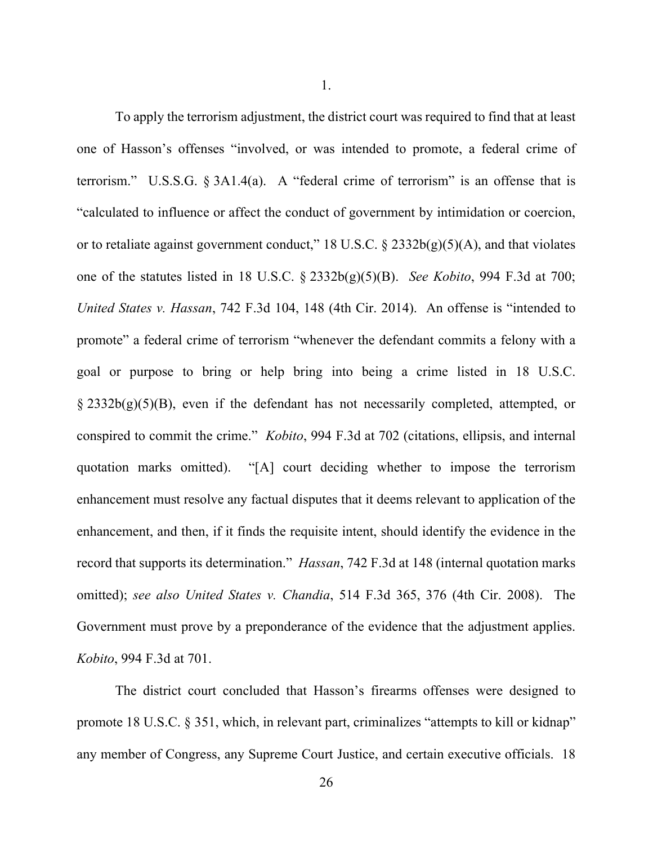To apply the terrorism adjustment, the district court was required to find that at least one of Hasson's offenses "involved, or was intended to promote, a federal crime of terrorism." U.S.S.G.  $\S 3A1.4(a)$ . A "federal crime of terrorism" is an offense that is "calculated to influence or affect the conduct of government by intimidation or coercion, or to retaliate against government conduct," 18 U.S.C.  $\S$  2332b(g)(5)(A), and that violates one of the statutes listed in 18 U.S.C. § 2332b(g)(5)(B). *See Kobito*, 994 F.3d at 700; *United States v. Hassan*, 742 F.3d 104, 148 (4th Cir. 2014). An offense is "intended to promote" a federal crime of terrorism "whenever the defendant commits a felony with a goal or purpose to bring or help bring into being a crime listed in 18 U.S.C. § 2332b(g)(5)(B), even if the defendant has not necessarily completed, attempted, or conspired to commit the crime." *Kobito*, 994 F.3d at 702 (citations, ellipsis, and internal quotation marks omitted). "[A] court deciding whether to impose the terrorism enhancement must resolve any factual disputes that it deems relevant to application of the enhancement, and then, if it finds the requisite intent, should identify the evidence in the record that supports its determination." *Hassan*, 742 F.3d at 148 (internal quotation marks omitted); *see also United States v. Chandia*, 514 F.3d 365, 376 (4th Cir. 2008). The Government must prove by a preponderance of the evidence that the adjustment applies. *Kobito*, 994 F.3d at 701.

The district court concluded that Hasson's firearms offenses were designed to promote 18 U.S.C. § 351, which, in relevant part, criminalizes "attempts to kill or kidnap" any member of Congress, any Supreme Court Justice, and certain executive officials. 18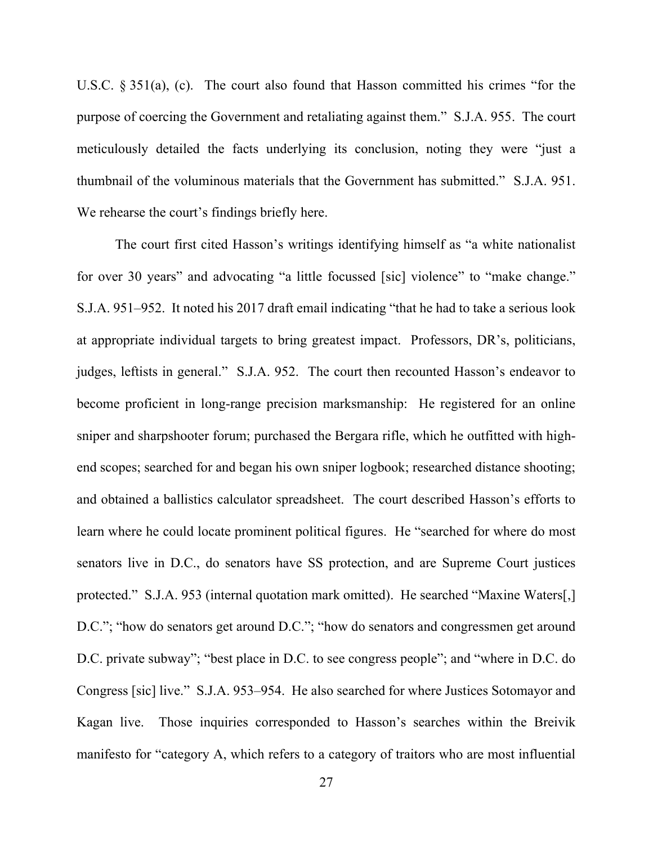U.S.C. § 351(a), (c). The court also found that Hasson committed his crimes "for the purpose of coercing the Government and retaliating against them." S.J.A. 955. The court meticulously detailed the facts underlying its conclusion, noting they were "just a thumbnail of the voluminous materials that the Government has submitted." S.J.A. 951. We rehearse the court's findings briefly here.

The court first cited Hasson's writings identifying himself as "a white nationalist for over 30 years" and advocating "a little focussed [sic] violence" to "make change." S.J.A. 951–952. It noted his 2017 draft email indicating "that he had to take a serious look at appropriate individual targets to bring greatest impact. Professors, DR's, politicians, judges, leftists in general." S.J.A. 952. The court then recounted Hasson's endeavor to become proficient in long-range precision marksmanship: He registered for an online sniper and sharpshooter forum; purchased the Bergara rifle, which he outfitted with highend scopes; searched for and began his own sniper logbook; researched distance shooting; and obtained a ballistics calculator spreadsheet. The court described Hasson's efforts to learn where he could locate prominent political figures. He "searched for where do most senators live in D.C., do senators have SS protection, and are Supreme Court justices protected." S.J.A. 953 (internal quotation mark omitted). He searched "Maxine Waters[,] D.C."; "how do senators get around D.C."; "how do senators and congressmen get around D.C. private subway"; "best place in D.C. to see congress people"; and "where in D.C. do Congress [sic] live." S.J.A. 953–954. He also searched for where Justices Sotomayor and Kagan live. Those inquiries corresponded to Hasson's searches within the Breivik manifesto for "category A, which refers to a category of traitors who are most influential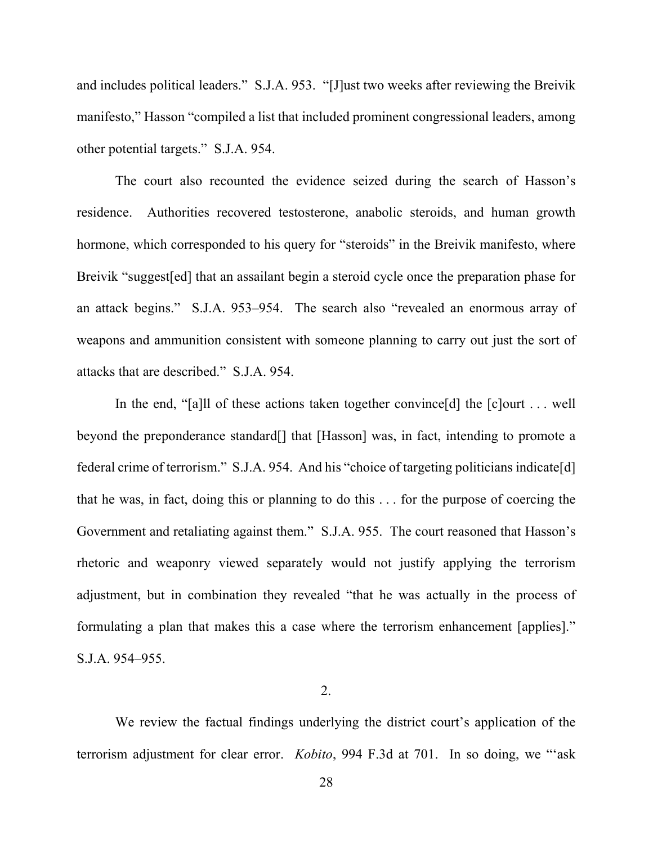and includes political leaders." S.J.A. 953. "[J]ust two weeks after reviewing the Breivik manifesto," Hasson "compiled a list that included prominent congressional leaders, among other potential targets." S.J.A. 954.

The court also recounted the evidence seized during the search of Hasson's residence. Authorities recovered testosterone, anabolic steroids, and human growth hormone, which corresponded to his query for "steroids" in the Breivik manifesto, where Breivik "suggest[ed] that an assailant begin a steroid cycle once the preparation phase for an attack begins." S.J.A. 953–954. The search also "revealed an enormous array of weapons and ammunition consistent with someone planning to carry out just the sort of attacks that are described." S.J.A. 954.

In the end, "[a]ll of these actions taken together convince[d] the [c]ourt . . . well beyond the preponderance standard[] that [Hasson] was, in fact, intending to promote a federal crime of terrorism." S.J.A. 954. And his "choice of targeting politicians indicate[d] that he was, in fact, doing this or planning to do this . . . for the purpose of coercing the Government and retaliating against them." S.J.A. 955. The court reasoned that Hasson's rhetoric and weaponry viewed separately would not justify applying the terrorism adjustment, but in combination they revealed "that he was actually in the process of formulating a plan that makes this a case where the terrorism enhancement [applies]." S.J.A. 954–955.

2.

We review the factual findings underlying the district court's application of the terrorism adjustment for clear error. *Kobito*, 994 F.3d at 701. In so doing, we "'ask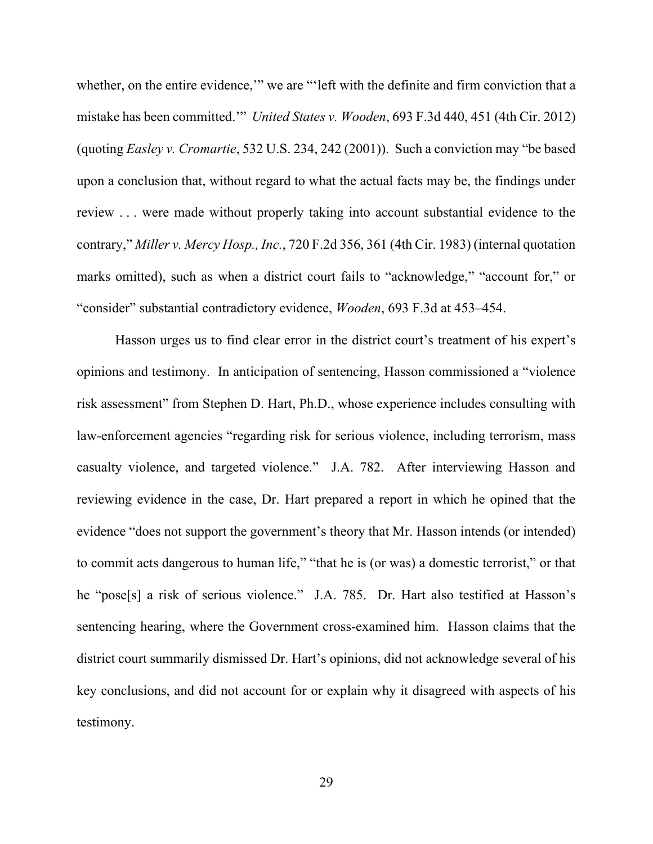whether, on the entire evidence,'" we are "'left with the definite and firm conviction that a mistake has been committed.'" *United States v. Wooden*, 693 F.3d 440, 451 (4th Cir. 2012) (quoting *Easley v. Cromartie*, 532 U.S. 234, 242 (2001)). Such a conviction may "be based upon a conclusion that, without regard to what the actual facts may be, the findings under review . . . were made without properly taking into account substantial evidence to the contrary," *Miller v. Mercy Hosp., Inc.*, 720 F.2d 356, 361 (4th Cir. 1983) (internal quotation marks omitted), such as when a district court fails to "acknowledge," "account for," or "consider" substantial contradictory evidence, *Wooden*, 693 F.3d at 453–454.

Hasson urges us to find clear error in the district court's treatment of his expert's opinions and testimony. In anticipation of sentencing, Hasson commissioned a "violence risk assessment" from Stephen D. Hart, Ph.D., whose experience includes consulting with law-enforcement agencies "regarding risk for serious violence, including terrorism, mass casualty violence, and targeted violence." J.A. 782. After interviewing Hasson and reviewing evidence in the case, Dr. Hart prepared a report in which he opined that the evidence "does not support the government's theory that Mr. Hasson intends (or intended) to commit acts dangerous to human life," "that he is (or was) a domestic terrorist," or that he "pose[s] a risk of serious violence." J.A. 785. Dr. Hart also testified at Hasson's sentencing hearing, where the Government cross-examined him. Hasson claims that the district court summarily dismissed Dr. Hart's opinions, did not acknowledge several of his key conclusions, and did not account for or explain why it disagreed with aspects of his testimony.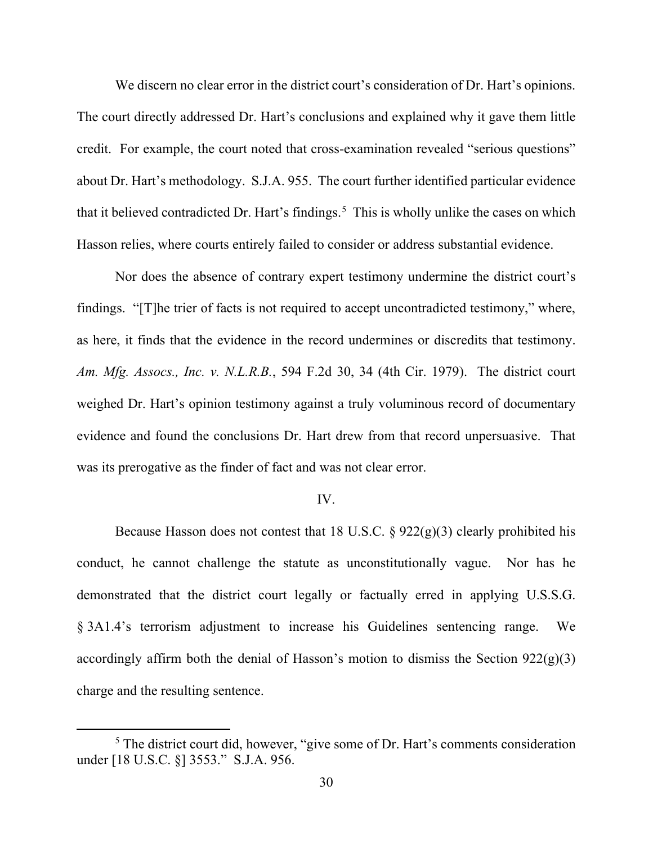We discern no clear error in the district court's consideration of Dr. Hart's opinions. The court directly addressed Dr. Hart's conclusions and explained why it gave them little credit. For example, the court noted that cross-examination revealed "serious questions" about Dr. Hart's methodology. S.J.A. 955. The court further identified particular evidence that it believed contradicted Dr. Hart's findings.<sup>[5](#page-29-0)</sup> This is wholly unlike the cases on which Hasson relies, where courts entirely failed to consider or address substantial evidence.

Nor does the absence of contrary expert testimony undermine the district court's findings. "[T]he trier of facts is not required to accept uncontradicted testimony," where, as here, it finds that the evidence in the record undermines or discredits that testimony. *Am. Mfg. Assocs., Inc. v. N.L.R.B.*, 594 F.2d 30, 34 (4th Cir. 1979). The district court weighed Dr. Hart's opinion testimony against a truly voluminous record of documentary evidence and found the conclusions Dr. Hart drew from that record unpersuasive. That was its prerogative as the finder of fact and was not clear error.

### IV.

Because Hasson does not contest that 18 U.S.C.  $\S 922(g)(3)$  clearly prohibited his conduct, he cannot challenge the statute as unconstitutionally vague. Nor has he demonstrated that the district court legally or factually erred in applying U.S.S.G. § 3A1.4's terrorism adjustment to increase his Guidelines sentencing range. We accordingly affirm both the denial of Hasson's motion to dismiss the Section  $922(g)(3)$ charge and the resulting sentence.

<span id="page-29-0"></span> $<sup>5</sup>$  The district court did, however, "give some of Dr. Hart's comments consideration</sup> under [18 U.S.C. §] 3553." S.J.A. 956.